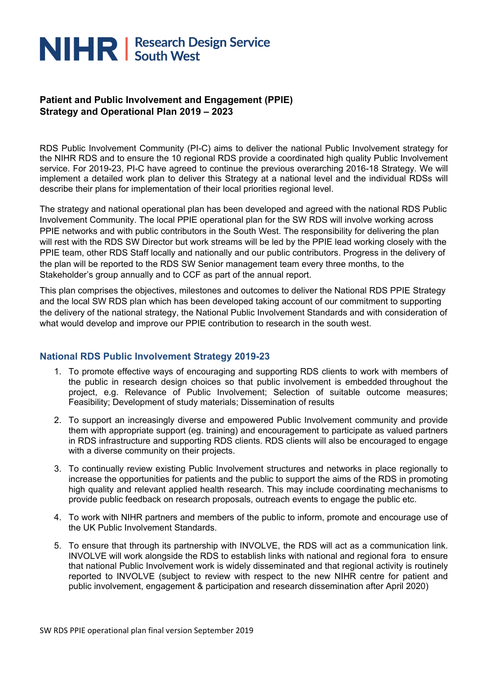# NIHR | Research Design Service

# **Patient and Public Involvement and Engagement (PPIE) Strategy and Operational Plan 2019 – 2023**

RDS Public Involvement Community (PI-C) aims to deliver the national Public Involvement strategy for the NIHR RDS and to ensure the 10 regional RDS provide a coordinated high quality Public Involvement service. For 2019-23, PI-C have agreed to continue the previous overarching 2016-18 Strategy. We will implement a detailed work plan to deliver this Strategy at a national level and the individual RDSs will describe their plans for implementation of their local priorities regional level.

The strategy and national operational plan has been developed and agreed with the national RDS Public Involvement Community. The local PPIE operational plan for the SW RDS will involve working across PPIE networks and with public contributors in the South West. The responsibility for delivering the plan will rest with the RDS SW Director but work streams will be led by the PPIE lead working closely with the PPIE team, other RDS Staff locally and nationally and our public contributors. Progress in the delivery of the plan will be reported to the RDS SW Senior management team every three months, to the Stakeholder's group annually and to CCF as part of the annual report.

This plan comprises the objectives, milestones and outcomes to deliver the National RDS PPIE Strategy and the local SW RDS plan which has been developed taking account of our commitment to supporting the delivery of the national strategy, the National Public Involvement Standards and with consideration of what would develop and improve our PPIE contribution to research in the south west.

#### **National RDS Public Involvement Strategy 2019-23**

- 1. To promote effective ways of encouraging and supporting RDS clients to work with members of the public in research design choices so that public involvement is embedded throughout the project, e.g. Relevance of Public Involvement; Selection of suitable outcome measures; Feasibility; Development of study materials; Dissemination of results
- 2. To support an increasingly diverse and empowered Public Involvement community and provide them with appropriate support (eg. training) and encouragement to participate as valued partners in RDS infrastructure and supporting RDS clients. RDS clients will also be encouraged to engage with a diverse community on their projects.
- 3. To continually review existing Public Involvement structures and networks in place regionally to increase the opportunities for patients and the public to support the aims of the RDS in promoting high quality and relevant applied health research. This may include coordinating mechanisms to provide public feedback on research proposals, outreach events to engage the public etc.
- 4. To work with NIHR partners and members of the public to inform, promote and encourage use of the UK Public Involvement Standards.
- 5. To ensure that through its partnership with INVOLVE, the RDS will act as a communication link. INVOLVE will work alongside the RDS to establish links with national and regional fora to ensure that national Public Involvement work is widely disseminated and that regional activity is routinely reported to INVOLVE (subject to review with respect to the new NIHR centre for patient and public involvement, engagement & participation and research dissemination after April 2020)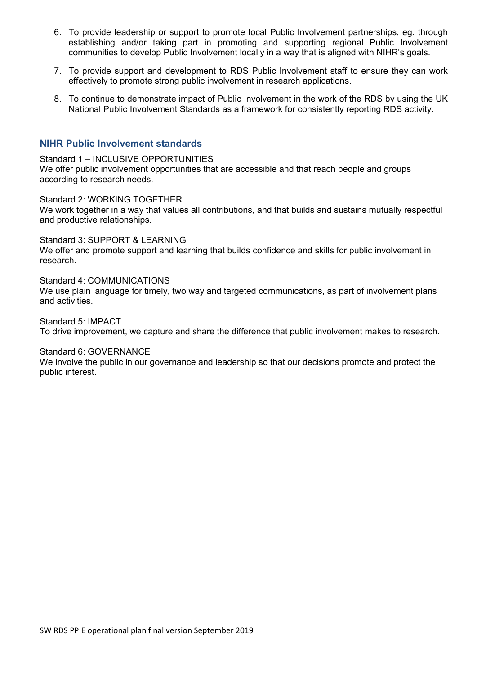- 6. To provide leadership or support to promote local Public Involvement partnerships, eg. through establishing and/or taking part in promoting and supporting regional Public Involvement communities to develop Public Involvement locally in a way that is aligned with NIHR's goals.
- 7. To provide support and development to RDS Public Involvement staff to ensure they can work effectively to promote strong public involvement in research applications.
- 8. To continue to demonstrate impact of Public Involvement in the work of the RDS by using the UK National Public Involvement Standards as a framework for consistently reporting RDS activity.

#### **NIHR Public Involvement standards**

Standard 1 – INCLUSIVE OPPORTUNITIES We offer public involvement opportunities that are accessible and that reach people and groups according to research needs.

Standard 2: WORKING TOGETHER

We work together in a way that values all contributions, and that builds and sustains mutually respectful and productive relationships.

Standard 3: SUPPORT & LEARNING

We offer and promote support and learning that builds confidence and skills for public involvement in research.

Standard 4: COMMUNICATIONS

We use plain language for timely, two way and targeted communications, as part of involvement plans and activities.

Standard 5: IMPACT To drive improvement, we capture and share the difference that public involvement makes to research.

Standard 6: GOVERNANCE

We involve the public in our governance and leadership so that our decisions promote and protect the public interest.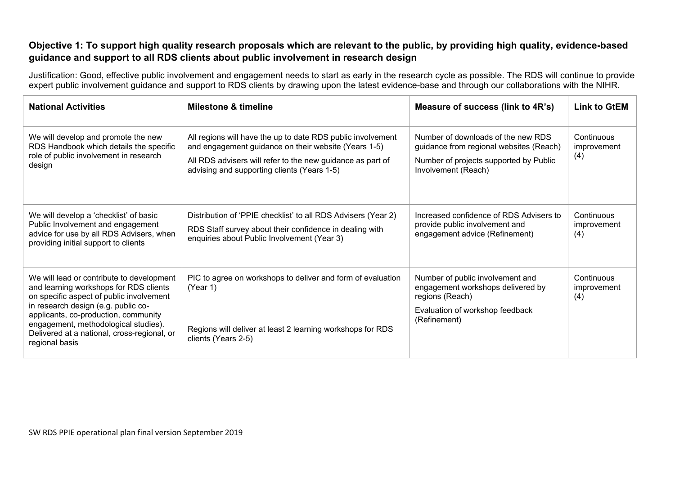### **Objective 1: To support high quality research proposals which are relevant to the public, by providing high quality, evidence-based guidance and support to all RDS clients about public involvement in research design**

Justification: Good, effective public involvement and engagement needs to start as early in the research cycle as possible. The RDS will continue to provide expert public involvement quidance and support to RDS clients by drawing upon the latest evidence-base and through our collaborations with the NIHR.

| <b>National Activities</b>                                                                                                                                                                                                                                                                                              | <b>Milestone &amp; timeline</b>                                                                                                                                                                                                  | Measure of success (link to 4R's)                                                                                                              | <b>Link to GtEM</b>              |
|-------------------------------------------------------------------------------------------------------------------------------------------------------------------------------------------------------------------------------------------------------------------------------------------------------------------------|----------------------------------------------------------------------------------------------------------------------------------------------------------------------------------------------------------------------------------|------------------------------------------------------------------------------------------------------------------------------------------------|----------------------------------|
| We will develop and promote the new<br>RDS Handbook which details the specific<br>role of public involvement in research<br>design                                                                                                                                                                                      | All regions will have the up to date RDS public involvement<br>and engagement guidance on their website (Years 1-5)<br>All RDS advisers will refer to the new guidance as part of<br>advising and supporting clients (Years 1-5) | Number of downloads of the new RDS<br>guidance from regional websites (Reach)<br>Number of projects supported by Public<br>Involvement (Reach) | Continuous<br>improvement<br>(4) |
| We will develop a 'checklist' of basic<br>Public Involvement and engagement<br>advice for use by all RDS Advisers, when<br>providing initial support to clients                                                                                                                                                         | Distribution of 'PPIE checklist' to all RDS Advisers (Year 2)<br>RDS Staff survey about their confidence in dealing with<br>enquiries about Public Involvement (Year 3)                                                          | Increased confidence of RDS Advisers to<br>provide public involvement and<br>engagement advice (Refinement)                                    | Continuous<br>improvement<br>(4) |
| We will lead or contribute to development<br>and learning workshops for RDS clients<br>on specific aspect of public involvement<br>in research design (e.g. public co-<br>applicants, co-production, community<br>engagement, methodological studies).<br>Delivered at a national, cross-regional, or<br>regional basis | PIC to agree on workshops to deliver and form of evaluation<br>(Year 1)<br>Regions will deliver at least 2 learning workshops for RDS<br>clients (Years 2-5)                                                                     | Number of public involvement and<br>engagement workshops delivered by<br>regions (Reach)<br>Evaluation of workshop feedback<br>(Refinement)    | Continuous<br>improvement<br>(4) |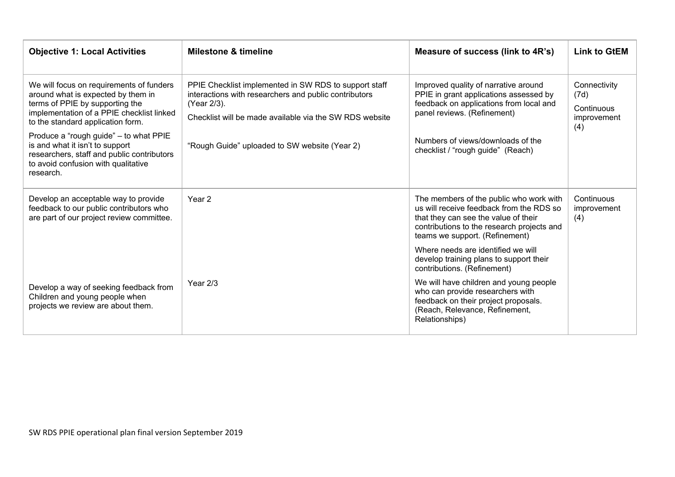| <b>Objective 1: Local Activities</b>                                                                                                                                                                | <b>Milestone &amp; timeline</b>                                                                                                                                                          | Measure of success (link to 4R's)                                                                                                                                                                           | <b>Link to GtEM</b>                                      |
|-----------------------------------------------------------------------------------------------------------------------------------------------------------------------------------------------------|------------------------------------------------------------------------------------------------------------------------------------------------------------------------------------------|-------------------------------------------------------------------------------------------------------------------------------------------------------------------------------------------------------------|----------------------------------------------------------|
| We will focus on requirements of funders<br>around what is expected by them in<br>terms of PPIE by supporting the<br>implementation of a PPIE checklist linked<br>to the standard application form. | PPIE Checklist implemented in SW RDS to support staff<br>interactions with researchers and public contributors<br>(Year 2/3).<br>Checklist will be made available via the SW RDS website | Improved quality of narrative around<br>PPIE in grant applications assessed by<br>feedback on applications from local and<br>panel reviews. (Refinement)                                                    | Connectivity<br>(7d)<br>Continuous<br>improvement<br>(4) |
| Produce a "rough guide" - to what PPIE<br>is and what it isn't to support<br>researchers, staff and public contributors<br>to avoid confusion with qualitative<br>research.                         | "Rough Guide" uploaded to SW website (Year 2)                                                                                                                                            | Numbers of views/downloads of the<br>checklist / "rough guide" (Reach)                                                                                                                                      |                                                          |
| Develop an acceptable way to provide<br>feedback to our public contributors who<br>are part of our project review committee.                                                                        | Year 2                                                                                                                                                                                   | The members of the public who work with<br>us will receive feedback from the RDS so<br>that they can see the value of their<br>contributions to the research projects and<br>teams we support. (Refinement) | Continuous<br>improvement<br>(4)                         |
|                                                                                                                                                                                                     |                                                                                                                                                                                          | Where needs are identified we will<br>develop training plans to support their<br>contributions. (Refinement)                                                                                                |                                                          |
| Develop a way of seeking feedback from<br>Children and young people when<br>projects we review are about them.                                                                                      | Year $2/3$                                                                                                                                                                               | We will have children and young people<br>who can provide researchers with<br>feedback on their project proposals.<br>(Reach, Relevance, Refinement,<br>Relationships)                                      |                                                          |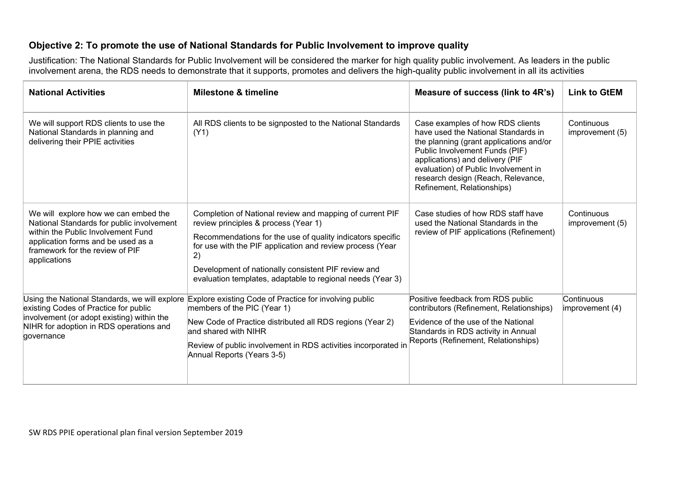### **Objective 2: To promote the use of National Standards for Public Involvement to improve quality**

Justification: The National Standards for Public Involvement will be considered the marker for high quality public involvement. As leaders in the public involvement arena, the RDS needs to demonstrate that it supports, promotes and delivers the high-quality public involvement in all its activities

| <b>National Activities</b>                                                                                                                                                                                       | <b>Milestone &amp; timeline</b>                                                                                                                                                                                                                                                                                                                        | Measure of success (link to 4R's)                                                                                                                                                                                                                                                                   | <b>Link to GtEM</b>           |
|------------------------------------------------------------------------------------------------------------------------------------------------------------------------------------------------------------------|--------------------------------------------------------------------------------------------------------------------------------------------------------------------------------------------------------------------------------------------------------------------------------------------------------------------------------------------------------|-----------------------------------------------------------------------------------------------------------------------------------------------------------------------------------------------------------------------------------------------------------------------------------------------------|-------------------------------|
| We will support RDS clients to use the<br>National Standards in planning and<br>delivering their PPIE activities                                                                                                 | All RDS clients to be signposted to the National Standards<br>(Y1)                                                                                                                                                                                                                                                                                     | Case examples of how RDS clients<br>have used the National Standards in<br>the planning (grant applications and/or<br>Public Involvement Funds (PIF)<br>applications) and delivery (PIF<br>evaluation) of Public Involvement in<br>research design (Reach, Relevance,<br>Refinement, Relationships) | Continuous<br>improvement (5) |
| We will explore how we can embed the<br>National Standards for public involvement<br>within the Public Involvement Fund<br>application forms and be used as a<br>framework for the review of PIF<br>applications | Completion of National review and mapping of current PIF<br>review principles & process (Year 1)<br>Recommendations for the use of quality indicators specific<br>for use with the PIF application and review process (Year<br>2)<br>Development of nationally consistent PIF review and<br>evaluation templates, adaptable to regional needs (Year 3) | Case studies of how RDS staff have<br>used the National Standards in the<br>review of PIF applications (Refinement)                                                                                                                                                                                 | Continuous<br>improvement (5) |
| existing Codes of Practice for public<br>involvement (or adopt existing) within the<br>NIHR for adoption in RDS operations and<br>governance                                                                     | Using the National Standards, we will explore Explore existing Code of Practice for involving public<br>members of the PIC (Year 1)<br>New Code of Practice distributed all RDS regions (Year 2)<br>and shared with NIHR<br>Review of public involvement in RDS activities incorporated in<br>Annual Reports (Years 3-5)                               | Positive feedback from RDS public<br>contributors (Refinement, Relationships)<br>Evidence of the use of the National<br>Standards in RDS activity in Annual<br>Reports (Refinement, Relationships)                                                                                                  | Continuous<br>improvement (4) |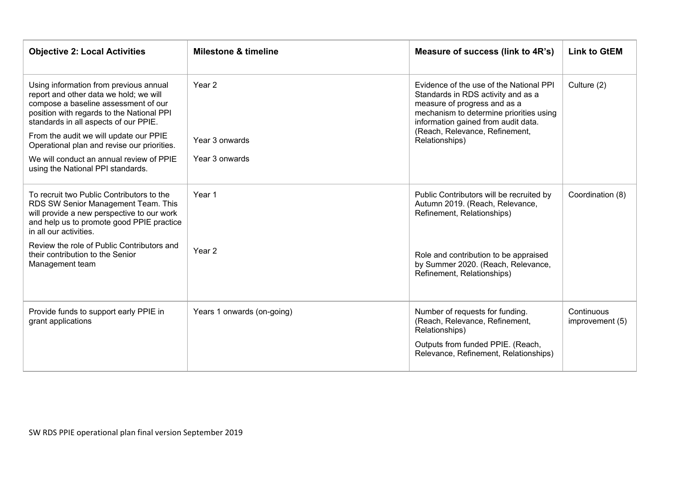| <b>Objective 2: Local Activities</b>                                                                                                                                                                           | <b>Milestone &amp; timeline</b> | Measure of success (link to 4R's)                                                                                                                                                               | <b>Link to GtEM</b>           |
|----------------------------------------------------------------------------------------------------------------------------------------------------------------------------------------------------------------|---------------------------------|-------------------------------------------------------------------------------------------------------------------------------------------------------------------------------------------------|-------------------------------|
| Using information from previous annual<br>report and other data we hold; we will<br>compose a baseline assessment of our<br>position with regards to the National PPI<br>standards in all aspects of our PPIE. | Year 2                          | Evidence of the use of the National PPI<br>Standards in RDS activity and as a<br>measure of progress and as a<br>mechanism to determine priorities using<br>information gained from audit data. | Culture (2)                   |
| From the audit we will update our PPIE<br>Operational plan and revise our priorities.                                                                                                                          | Year 3 onwards                  | (Reach, Relevance, Refinement,<br>Relationships)                                                                                                                                                |                               |
| We will conduct an annual review of PPIE<br>using the National PPI standards.                                                                                                                                  | Year 3 onwards                  |                                                                                                                                                                                                 |                               |
| To recruit two Public Contributors to the<br>RDS SW Senior Management Team. This<br>will provide a new perspective to our work<br>and help us to promote good PPIE practice<br>in all our activities.          | Year 1                          | Public Contributors will be recruited by<br>Autumn 2019. (Reach, Relevance,<br>Refinement, Relationships)                                                                                       | Coordination (8)              |
| Review the role of Public Contributors and<br>their contribution to the Senior<br>Management team                                                                                                              | Year <sub>2</sub>               | Role and contribution to be appraised<br>by Summer 2020. (Reach, Relevance,<br>Refinement, Relationships)                                                                                       |                               |
| Provide funds to support early PPIE in<br>grant applications                                                                                                                                                   | Years 1 onwards (on-going)      | Number of requests for funding.<br>(Reach, Relevance, Refinement,<br>Relationships)<br>Outputs from funded PPIE. (Reach,<br>Relevance, Refinement, Relationships)                               | Continuous<br>improvement (5) |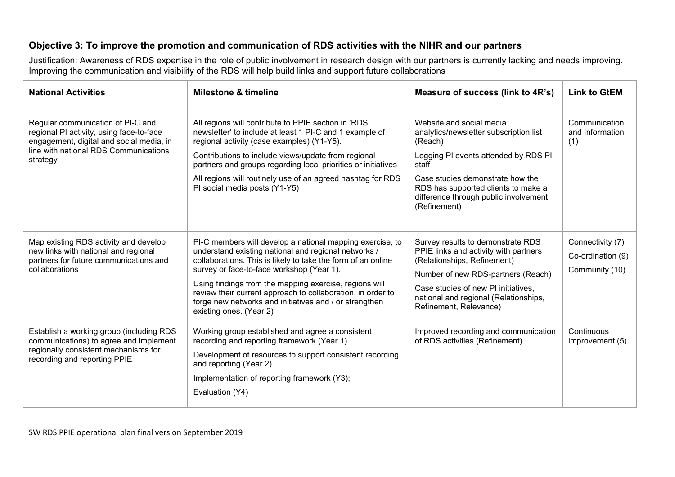# **Objective 3: To improve the promotion and communication of RDS activities with the NIHR and our partners**

Justification: Awareness of RDS expertise in the role of public involvement in research design with our partners is currently lacking and needs improving. Improving the communication and visibility of the RDS will help build links and support future collaborations

| <b>National Activities</b>                                                                                                                                                     | <b>Milestone &amp; timeline</b>                                                                                                                                                                                                                                                                                                                                                                                                              | Measure of success (link to 4R's)                                                                                                                                                                                                                                  | <b>Link to GtEM</b>                                     |
|--------------------------------------------------------------------------------------------------------------------------------------------------------------------------------|----------------------------------------------------------------------------------------------------------------------------------------------------------------------------------------------------------------------------------------------------------------------------------------------------------------------------------------------------------------------------------------------------------------------------------------------|--------------------------------------------------------------------------------------------------------------------------------------------------------------------------------------------------------------------------------------------------------------------|---------------------------------------------------------|
| Regular communication of PI-C and<br>regional PI activity, using face-to-face<br>engagement, digital and social media, in<br>line with national RDS Communications<br>strategy | All regions will contribute to PPIE section in 'RDS<br>newsletter' to include at least 1 PI-C and 1 example of<br>regional activity (case examples) (Y1-Y5).<br>Contributions to include views/update from regional<br>partners and groups regarding local priorities or initiatives<br>All regions will routinely use of an agreed hashtag for RDS<br>PI social media posts (Y1-Y5)                                                         | Website and social media<br>analytics/newsletter subscription list<br>(Reach)<br>Logging PI events attended by RDS PI<br>staff<br>Case studies demonstrate how the<br>RDS has supported clients to make a<br>difference through public involvement<br>(Refinement) | Communication<br>and Information<br>(1)                 |
| Map existing RDS activity and develop<br>new links with national and regional<br>partners for future communications and<br>collaborations                                      | PI-C members will develop a national mapping exercise, to<br>understand existing national and regional networks /<br>collaborations. This is likely to take the form of an online<br>survey or face-to-face workshop (Year 1).<br>Using findings from the mapping exercise, regions will<br>review their current approach to collaboration, in order to<br>forge new networks and initiatives and / or strengthen<br>existing ones. (Year 2) | Survey results to demonstrate RDS<br>PPIE links and activity with partners<br>(Relationships, Refinement)<br>Number of new RDS-partners (Reach)<br>Case studies of new PI initiatives,<br>national and regional (Relationships,<br>Refinement, Relevance)          | Connectivity (7)<br>Co-ordination (9)<br>Community (10) |
| Establish a working group (including RDS<br>communications) to agree and implement<br>regionally consistent mechanisms for<br>recording and reporting PPIE                     | Working group established and agree a consistent<br>recording and reporting framework (Year 1)<br>Development of resources to support consistent recording<br>and reporting (Year 2)<br>Implementation of reporting framework (Y3);<br>Evaluation (Y4)                                                                                                                                                                                       | Improved recording and communication<br>of RDS activities (Refinement)                                                                                                                                                                                             | Continuous<br>improvement (5)                           |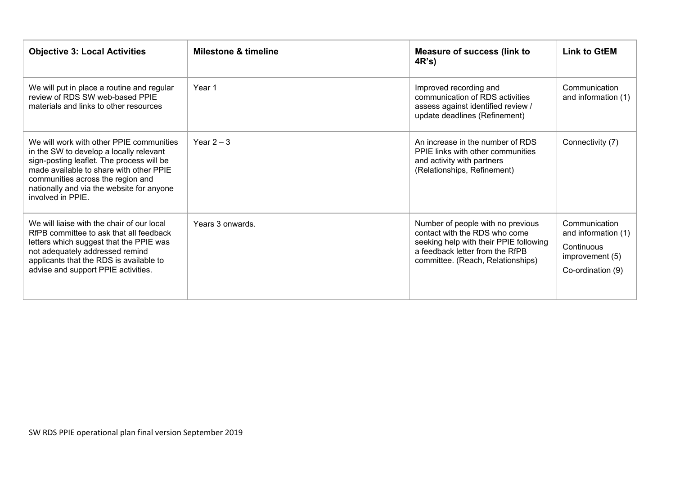| <b>Objective 3: Local Activities</b>                                                                                                                                                                                                                                               | <b>Milestone &amp; timeline</b> | <b>Measure of success (link to</b><br>4R's                                                                                                                                           | <b>Link to GtEM</b>                                                                        |
|------------------------------------------------------------------------------------------------------------------------------------------------------------------------------------------------------------------------------------------------------------------------------------|---------------------------------|--------------------------------------------------------------------------------------------------------------------------------------------------------------------------------------|--------------------------------------------------------------------------------------------|
| We will put in place a routine and regular<br>review of RDS SW web-based PPIE<br>materials and links to other resources                                                                                                                                                            | Year 1                          | Improved recording and<br>communication of RDS activities<br>assess against identified review /<br>update deadlines (Refinement)                                                     | Communication<br>and information (1)                                                       |
| We will work with other PPIE communities<br>in the SW to develop a locally relevant<br>sign-posting leaflet. The process will be<br>made available to share with other PPIE<br>communities across the region and<br>nationally and via the website for anyone<br>involved in PPIE. | Year $2 - 3$                    | An increase in the number of RDS<br>PPIE links with other communities<br>and activity with partners<br>(Relationships, Refinement)                                                   | Connectivity (7)                                                                           |
| We will liaise with the chair of our local<br>RfPB committee to ask that all feedback<br>letters which suggest that the PPIE was<br>not adequately addressed remind<br>applicants that the RDS is available to<br>advise and support PPIE activities.                              | Years 3 onwards.                | Number of people with no previous<br>contact with the RDS who come<br>seeking help with their PPIE following<br>a feedback letter from the RfPB<br>committee. (Reach, Relationships) | Communication<br>and information (1)<br>Continuous<br>improvement (5)<br>Co-ordination (9) |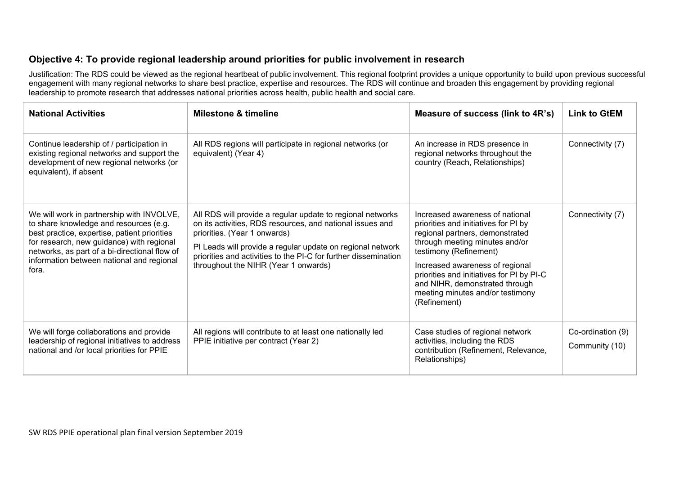## **Objective 4: To provide regional leadership around priorities for public involvement in research**

Justification: The RDS could be viewed as the regional heartbeat of public involvement. This regional footprint provides a unique opportunity to build upon previous successful engagement with many regional networks to share best practice, expertise and resources. The RDS will continue and broaden this engagement by providing regional leadership to promote research that addresses national priorities across health, public health and social care.

| <b>National Activities</b>                                                                                                                                                                                                                                                              | <b>Milestone &amp; timeline</b>                                                                                                                                                                                                                                                                                                  | Measure of success (link to 4R's)                                                                                                                                                                                                                                                                                                            | <b>Link to GtEM</b>                 |
|-----------------------------------------------------------------------------------------------------------------------------------------------------------------------------------------------------------------------------------------------------------------------------------------|----------------------------------------------------------------------------------------------------------------------------------------------------------------------------------------------------------------------------------------------------------------------------------------------------------------------------------|----------------------------------------------------------------------------------------------------------------------------------------------------------------------------------------------------------------------------------------------------------------------------------------------------------------------------------------------|-------------------------------------|
| Continue leadership of / participation in<br>existing regional networks and support the<br>development of new regional networks (or<br>equivalent), if absent                                                                                                                           | All RDS regions will participate in regional networks (or<br>equivalent) (Year 4)                                                                                                                                                                                                                                                | An increase in RDS presence in<br>regional networks throughout the<br>country (Reach, Relationships)                                                                                                                                                                                                                                         | Connectivity (7)                    |
| We will work in partnership with INVOLVE,<br>to share knowledge and resources (e.g.<br>best practice, expertise, patient priorities<br>for research, new guidance) with regional<br>networks, as part of a bi-directional flow of<br>information between national and regional<br>fora. | All RDS will provide a regular update to regional networks<br>on its activities, RDS resources, and national issues and<br>priorities. (Year 1 onwards)<br>PI Leads will provide a regular update on regional network<br>priorities and activities to the PI-C for further dissemination<br>throughout the NIHR (Year 1 onwards) | Increased awareness of national<br>priorities and initiatives for PI by<br>regional partners, demonstrated<br>through meeting minutes and/or<br>testimony (Refinement)<br>Increased awareness of regional<br>priorities and initiatives for PI by PI-C<br>and NIHR, demonstrated through<br>meeting minutes and/or testimony<br>(Refinement) | Connectivity (7)                    |
| We will forge collaborations and provide<br>leadership of regional initiatives to address<br>national and /or local priorities for PPIE                                                                                                                                                 | All regions will contribute to at least one nationally led<br>PPIE initiative per contract (Year 2)                                                                                                                                                                                                                              | Case studies of regional network<br>activities, including the RDS<br>contribution (Refinement, Relevance,<br>Relationships)                                                                                                                                                                                                                  | Co-ordination (9)<br>Community (10) |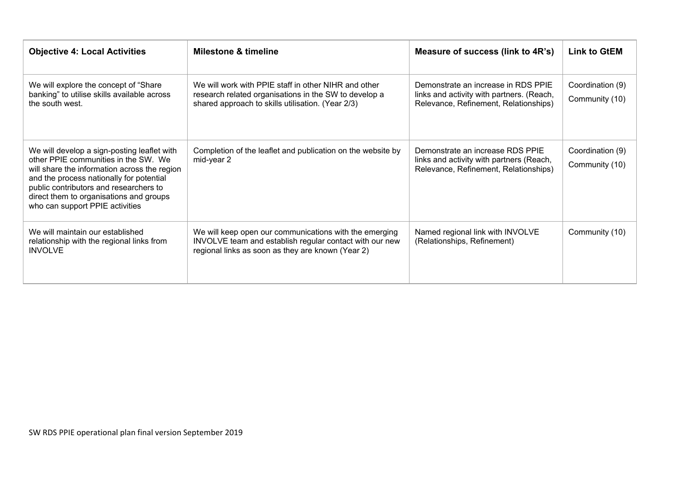| <b>Objective 4: Local Activities</b>                                                                                                                                                                                                                                                                    | <b>Milestone &amp; timeline</b>                                                                                                                                        | Measure of success (link to 4R's)                                                                                         | <b>Link to GtEM</b>                |
|---------------------------------------------------------------------------------------------------------------------------------------------------------------------------------------------------------------------------------------------------------------------------------------------------------|------------------------------------------------------------------------------------------------------------------------------------------------------------------------|---------------------------------------------------------------------------------------------------------------------------|------------------------------------|
| We will explore the concept of "Share"<br>banking" to utilise skills available across<br>the south west.                                                                                                                                                                                                | We will work with PPIE staff in other NIHR and other<br>research related organisations in the SW to develop a<br>shared approach to skills utilisation. (Year 2/3)     | Demonstrate an increase in RDS PPIE<br>links and activity with partners. (Reach,<br>Relevance, Refinement, Relationships) | Coordination (9)<br>Community (10) |
| We will develop a sign-posting leaflet with<br>other PPIE communities in the SW. We<br>will share the information across the region<br>and the process nationally for potential<br>public contributors and researchers to<br>direct them to organisations and groups<br>who can support PPIE activities | Completion of the leaflet and publication on the website by<br>mid-year 2                                                                                              | Demonstrate an increase RDS PPIE<br>links and activity with partners (Reach,<br>Relevance, Refinement, Relationships)     | Coordination (9)<br>Community (10) |
| We will maintain our established<br>relationship with the regional links from<br><b>INVOLVE</b>                                                                                                                                                                                                         | We will keep open our communications with the emerging<br>INVOLVE team and establish regular contact with our new<br>regional links as soon as they are known (Year 2) | Named regional link with INVOLVE<br>(Relationships, Refinement)                                                           | Community (10)                     |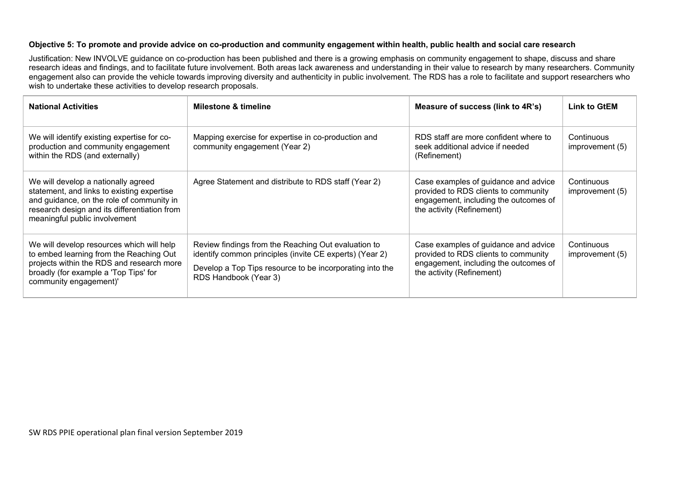#### **Objective 5: To promote and provide advice on co-production and community engagement within health, public health and social care research**

Justification: New INVOLVE guidance on co-production has been published and there is a growing emphasis on community engagement to shape, discuss and share research ideas and findings, and to facilitate future involvement. Both areas lack awareness and understanding in their value to research by many researchers. Community researchers. engagement also can provide the vehicle towards improving diversity and authenticity in public involvement. The RDS has a role to facilitate and support researchers who wish to undertake these activities to develop research proposals.

| <b>National Activities</b>                                                                                                                                                                                      | <b>Milestone &amp; timeline</b>                                                                                                                                                                     | Measure of success (link to 4R's)                                                                                                                  | <b>Link to GtEM</b>           |
|-----------------------------------------------------------------------------------------------------------------------------------------------------------------------------------------------------------------|-----------------------------------------------------------------------------------------------------------------------------------------------------------------------------------------------------|----------------------------------------------------------------------------------------------------------------------------------------------------|-------------------------------|
| We will identify existing expertise for co-<br>production and community engagement<br>within the RDS (and externally)                                                                                           | Mapping exercise for expertise in co-production and<br>community engagement (Year 2)                                                                                                                | RDS staff are more confident where to<br>seek additional advice if needed<br>(Refinement)                                                          | Continuous<br>improvement (5) |
| We will develop a nationally agreed<br>statement, and links to existing expertise<br>and guidance, on the role of community in<br>research design and its differentiation from<br>meaningful public involvement | Agree Statement and distribute to RDS staff (Year 2)                                                                                                                                                | Case examples of guidance and advice<br>provided to RDS clients to community<br>engagement, including the outcomes of<br>the activity (Refinement) | Continuous<br>improvement (5) |
| We will develop resources which will help<br>to embed learning from the Reaching Out<br>projects within the RDS and research more<br>broadly (for example a 'Top Tips' for<br>community engagement)'            | Review findings from the Reaching Out evaluation to<br>identify common principles (invite CE experts) (Year 2)<br>Develop a Top Tips resource to be incorporating into the<br>RDS Handbook (Year 3) | Case examples of guidance and advice<br>provided to RDS clients to community<br>engagement, including the outcomes of<br>the activity (Refinement) | Continuous<br>improvement (5) |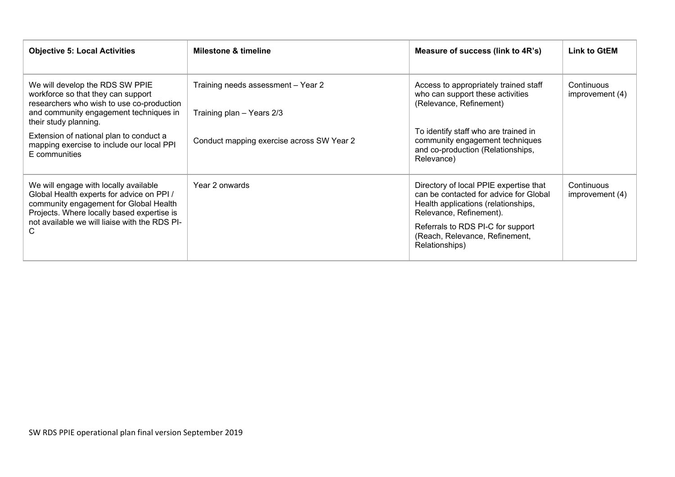| <b>Objective 5: Local Activities</b>                                                                                                                                                                                             | <b>Milestone &amp; timeline</b>                                 | Measure of success (link to 4R's)                                                                                                                                                                                                           | <b>Link to GtEM</b>             |
|----------------------------------------------------------------------------------------------------------------------------------------------------------------------------------------------------------------------------------|-----------------------------------------------------------------|---------------------------------------------------------------------------------------------------------------------------------------------------------------------------------------------------------------------------------------------|---------------------------------|
| We will develop the RDS SW PPIE<br>workforce so that they can support<br>researchers who wish to use co-production<br>and community engagement techniques in<br>their study planning.<br>Extension of national plan to conduct a | Training needs assessment - Year 2<br>Training plan - Years 2/3 | Access to appropriately trained staff<br>who can support these activities<br>(Relevance, Refinement)<br>To identify staff who are trained in                                                                                                | Continuous<br>improvement (4)   |
| mapping exercise to include our local PPI<br>E communities                                                                                                                                                                       | Conduct mapping exercise across SW Year 2                       | community engagement techniques<br>and co-production (Relationships,<br>Relevance)                                                                                                                                                          |                                 |
| We will engage with locally available<br>Global Health experts for advice on PPI /<br>community engagement for Global Health<br>Projects. Where locally based expertise is<br>not available we will liaise with the RDS PI-<br>C | Year 2 onwards                                                  | Directory of local PPIE expertise that<br>can be contacted for advice for Global<br>Health applications (relationships,<br>Relevance, Refinement).<br>Referrals to RDS PI-C for support<br>(Reach, Relevance, Refinement,<br>Relationships) | Continuous<br>improvement $(4)$ |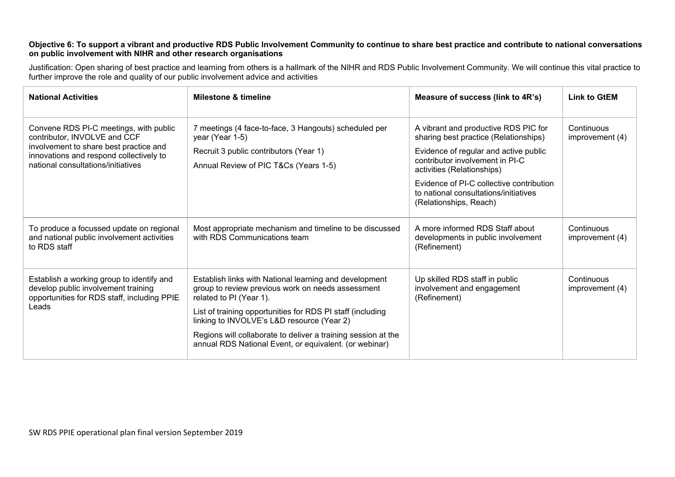#### **Objective 6: To support a vibrant and productive RDS Public Involvement Community to continue to share best practice and contribute to national conversations on public involvement with NIHR and other research organisations**

Justification: Open sharing of best practice and learning from others is a hallmark of the NIHR and RDS Public Involvement Community. We will continue this vital practice to further improve the role and quality of our public involvement advice and activities

| <b>National Activities</b>                                                                                                                                                                        | <b>Milestone &amp; timeline</b>                                                                                                                                                                                                                                                                                                                                               | Measure of success (link to 4R's)                                                                                                                                                                                                                                                                      | <b>Link to GtEM</b>           |
|---------------------------------------------------------------------------------------------------------------------------------------------------------------------------------------------------|-------------------------------------------------------------------------------------------------------------------------------------------------------------------------------------------------------------------------------------------------------------------------------------------------------------------------------------------------------------------------------|--------------------------------------------------------------------------------------------------------------------------------------------------------------------------------------------------------------------------------------------------------------------------------------------------------|-------------------------------|
| Convene RDS PI-C meetings, with public<br>contributor, INVOLVE and CCF<br>involvement to share best practice and<br>innovations and respond collectively to<br>national consultations/initiatives | 7 meetings (4 face-to-face, 3 Hangouts) scheduled per<br>year (Year 1-5)<br>Recruit 3 public contributors (Year 1)<br>Annual Review of PIC T&Cs (Years 1-5)                                                                                                                                                                                                                   | A vibrant and productive RDS PIC for<br>sharing best practice (Relationships)<br>Evidence of regular and active public<br>contributor involvement in PI-C<br>activities (Relationships)<br>Evidence of PI-C collective contribution<br>to national consultations/initiatives<br>(Relationships, Reach) | Continuous<br>improvement (4) |
| To produce a focussed update on regional<br>and national public involvement activities<br>to RDS staff                                                                                            | Most appropriate mechanism and timeline to be discussed<br>with RDS Communications team                                                                                                                                                                                                                                                                                       | A more informed RDS Staff about<br>developments in public involvement<br>(Refinement)                                                                                                                                                                                                                  | Continuous<br>improvement (4) |
| Establish a working group to identify and<br>develop public involvement training<br>opportunities for RDS staff, including PPIE<br>Leads                                                          | Establish links with National learning and development<br>group to review previous work on needs assessment<br>related to PI (Year 1).<br>List of training opportunities for RDS PI staff (including<br>linking to INVOLVE's L&D resource (Year 2)<br>Regions will collaborate to deliver a training session at the<br>annual RDS National Event, or equivalent. (or webinar) | Up skilled RDS staff in public<br>involvement and engagement<br>(Refinement)                                                                                                                                                                                                                           | Continuous<br>improvement (4) |